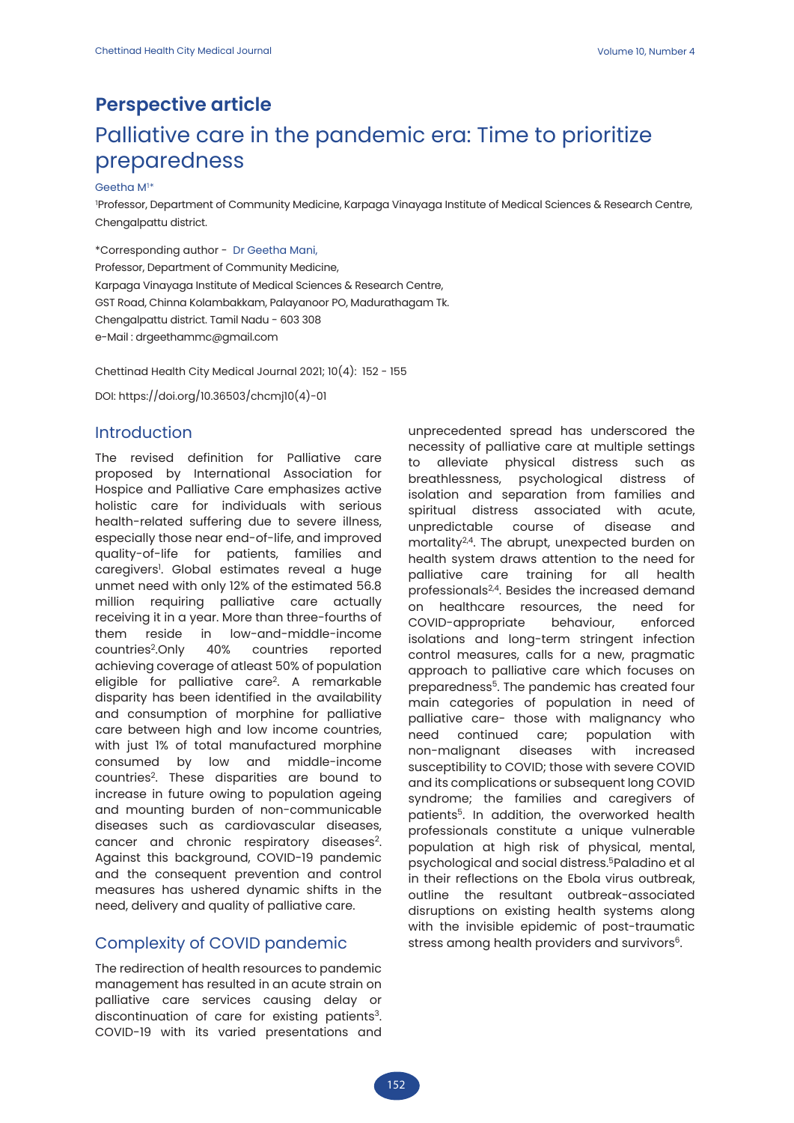# **Perspective article** Palliative care in the pandemic era: Time to prioritize preparedness

#### Geetha M $1*$

1 Professor, Department of Community Medicine, Karpaga Vinayaga Institute of Medical Sciences & Research Centre, Chengalpattu district.

\*Corresponding author - Dr Geetha Mani,

Professor, Department of Community Medicine, Karpaga Vinayaga Institute of Medical Sciences & Research Centre, GST Road, Chinna Kolambakkam, Palayanoor PO, Madurathagam Tk. Chengalpattu district. Tamil Nadu - 603 308 e-Mail : drgeethammc@gmail.com

Chettinad Health City Medical Journal 2021; 10(4): 152 - 155

DOI: https://doi.org/10.36503/chcmj10(4)-01

## Introduction

The revised definition for Palliative care proposed by International Association for Hospice and Palliative Care emphasizes active holistic care for individuals with serious health-related suffering due to severe illness, especially those near end-of-life, and improved quality-of-life for patients, families and caregivers'. Global estimates reveal a huge unmet need with only 12% of the estimated 56.8 million requiring palliative care actually receiving it in a year. More than three-fourths of them reside in low-and-middle-income countries2.Only 40% countries reported achieving coverage of atleast 50% of population eligible for palliative care2. A remarkable disparity has been identified in the availability and consumption of morphine for palliative care between high and low income countries, with just 1% of total manufactured morphine consumed by low and middle-income countries2. These disparities are bound to increase in future owing to population ageing and mounting burden of non-communicable diseases such as cardiovascular diseases, cancer and chronic respiratory diseases<sup>2</sup>. Against this background, COVID-19 pandemic and the consequent prevention and control measures has ushered dynamic shifts in the need, delivery and quality of palliative care.

#### Complexity of COVID pandemic

The redirection of health resources to pandemic management has resulted in an acute strain on palliative care services causing delay or discontinuation of care for existing patients<sup>3</sup>. COVID-19 with its varied presentations and

unprecedented spread has underscored the necessity of palliative care at multiple settings to alleviate physical distress such as breathlessness, psychological distress of isolation and separation from families and spiritual distress associated with acute, unpredictable course of disease and mortality<sup>2,4</sup>. The abrupt, unexpected burden on health system draws attention to the need for palliative care training for all health professionals2,4. Besides the increased demand on healthcare resources, the need for COVID-appropriate behaviour, enforced isolations and long-term stringent infection control measures, calls for a new, pragmatic approach to palliative care which focuses on preparedness<sup>5</sup>. The pandemic has created four main categories of population in need of palliative care- those with malignancy who need continued care; population with non-malignant diseases with increased susceptibility to COVID; those with severe COVID and its complications or subsequent long COVID syndrome; the families and caregivers of patients<sup>5</sup>. In addition, the overworked health professionals constitute a unique vulnerable population at high risk of physical, mental, psychological and social distress.5Paladino et al in their reflections on the Ebola virus outbreak, outline the resultant outbreak-associated disruptions on existing health systems along with the invisible epidemic of post-traumatic stress among health providers and survivors<sup>6</sup>.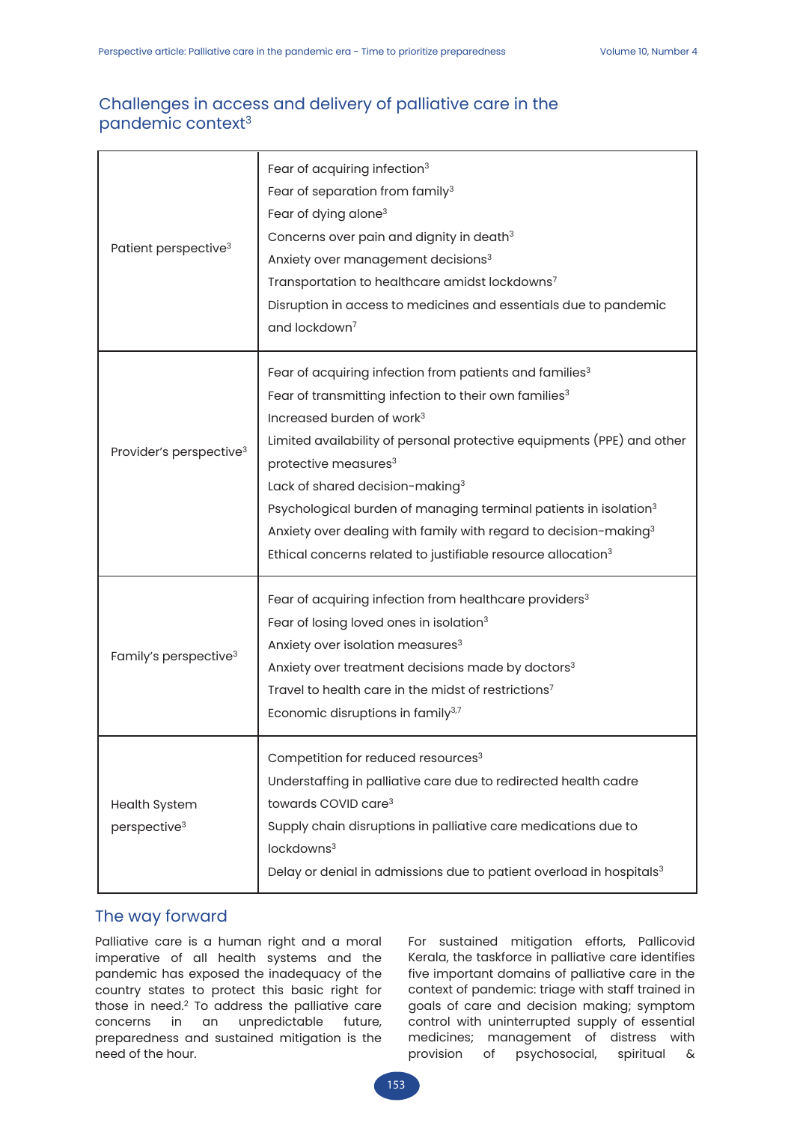# Challenges in access and delivery of palliative care in the pandemic context<sup>3</sup>

| Patient perspective <sup>3</sup>                 | Fear of acquiring infection <sup>3</sup><br>Fear of separation from family <sup>3</sup><br>Fear of dying alone <sup>3</sup><br>Concerns over pain and dignity in death <sup>3</sup><br>Anxiety over management decisions <sup>3</sup><br>Transportation to healthcare amidst lockdowns <sup>7</sup><br>Disruption in access to medicines and essentials due to pandemic<br>and lockdown <sup>7</sup>                                                                                                                                                                                       |
|--------------------------------------------------|--------------------------------------------------------------------------------------------------------------------------------------------------------------------------------------------------------------------------------------------------------------------------------------------------------------------------------------------------------------------------------------------------------------------------------------------------------------------------------------------------------------------------------------------------------------------------------------------|
| Provider's perspective <sup>3</sup>              | Fear of acquiring infection from patients and families <sup>3</sup><br>Fear of transmitting infection to their own families <sup>3</sup><br>Increased burden of work <sup>3</sup><br>Limited availability of personal protective equipments (PPE) and other<br>protective measures <sup>3</sup><br>Lack of shared decision-making <sup>3</sup><br>Psychological burden of managing terminal patients in isolation <sup>3</sup><br>Anxiety over dealing with family with regard to decision-making <sup>3</sup><br>Ethical concerns related to justifiable resource allocation <sup>3</sup> |
| Family's perspective <sup>3</sup>                | Fear of acquiring infection from healthcare providers <sup>3</sup><br>Fear of losing loved ones in isolation <sup>3</sup><br>Anxiety over isolation measures <sup>3</sup><br>Anxiety over treatment decisions made by doctors <sup>3</sup><br>Travel to health care in the midst of restrictions <sup>7</sup><br>Economic disruptions in family <sup>3,7</sup>                                                                                                                                                                                                                             |
| <b>Health System</b><br>perspective <sup>3</sup> | Competition for reduced resources <sup>3</sup><br>Understaffing in palliative care due to redirected health cadre<br>towards COVID care <sup>3</sup><br>Supply chain disruptions in palliative care medications due to<br>lockdowns <sup>3</sup><br>Delay or denial in admissions due to patient overload in hospitals <sup>3</sup>                                                                                                                                                                                                                                                        |

## The way forward

Palliative care is a human right and a moral imperative of all health systems and the pandemic has exposed the inadequacy of the country states to protect this basic right for those in need.2 To address the palliative care concerns in an unpredictable future, preparedness and sustained mitigation is the need of the hour.

For sustained mitigation efforts, Pallicovid Kerala, the taskforce in palliative care identifies five important domains of palliative care in the context of pandemic: triage with staff trained in goals of care and decision making; symptom control with uninterrupted supply of essential medicines; management of distress with provision of psychosocial, spiritual &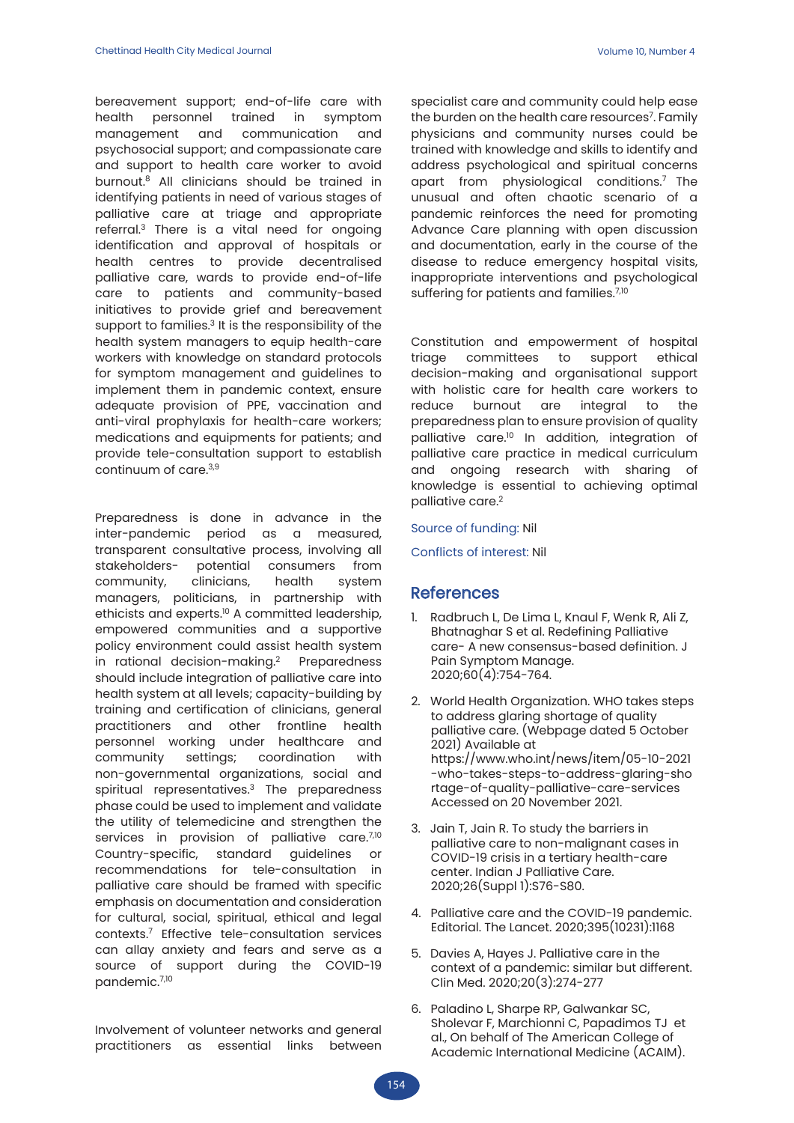bereavement support; end-of-life care with health personnel trained in symptom management and communication and psychosocial support; and compassionate care and support to health care worker to avoid burnout.8 All clinicians should be trained in identifying patients in need of various stages of palliative care at triage and appropriate referral.3 There is a vital need for ongoing identification and approval of hospitals or health centres to provide decentralised palliative care, wards to provide end-of-life care to patients and community-based initiatives to provide grief and bereavement support to families. $3$  It is the responsibility of the health system managers to equip health-care workers with knowledge on standard protocols for symptom management and guidelines to implement them in pandemic context, ensure adequate provision of PPE, vaccination and anti-viral prophylaxis for health-care workers; medications and equipments for patients; and provide tele-consultation support to establish continuum of care.3,9

Preparedness is done in advance in the inter-pandemic period as a measured, transparent consultative process, involving all stakeholders- potential consumers from community, clinicians, health system managers, politicians, in partnership with ethicists and experts.10 A committed leadership, empowered communities and a supportive policy environment could assist health system in rational decision-making.<sup>2</sup> Preparedness should include integration of palliative care into health system at all levels; capacity-building by training and certification of clinicians, general practitioners and other frontline health personnel working under healthcare and community settings; coordination with non-governmental organizations, social and spiritual representatives.<sup>3</sup> The preparedness phase could be used to implement and validate the utility of telemedicine and strengthen the services in provision of palliative care.<sup>7,10</sup> Country-specific, standard guidelines or recommendations for tele-consultation in palliative care should be framed with specific emphasis on documentation and consideration for cultural, social, spiritual, ethical and legal contexts.7 Effective tele-consultation services can allay anxiety and fears and serve as a source of support during the COVID-19 pandemic.7,10

Involvement of volunteer networks and general practitioners as essential links between specialist care and community could help ease the burden on the health care resources<sup>7</sup>. Family physicians and community nurses could be trained with knowledge and skills to identify and address psychological and spiritual concerns apart from physiological conditions.7 The unusual and often chaotic scenario of a pandemic reinforces the need for promoting Advance Care planning with open discussion and documentation, early in the course of the disease to reduce emergency hospital visits, inappropriate interventions and psychological suffering for patients and families.<sup>7,10</sup>

Constitution and empowerment of hospital triage committees to support ethical decision-making and organisational support with holistic care for health care workers to reduce burnout are integral to the preparedness plan to ensure provision of quality palliative care.10 In addition, integration of palliative care practice in medical curriculum and ongoing research with sharing of knowledge is essential to achieving optimal palliative care.<sup>2</sup>

Source of funding: Nil

Conflicts of interest: Nil

## **References**

- Radbruch L, De Lima L, Knaul F, Wenk R, Ali Z, Bhatnaghar S et al. Redefining Palliative care- A new consensus-based definition. J Pain Symptom Manage. 2020;60(4):754-764.
- 2. World Health Organization. WHO takes steps to address glaring shortage of quality palliative care. (Webpage dated 5 October 2021) Available at https://www.who.int/news/item/05-10-2021 -who-takes-steps-to-address-glaring-sho rtage-of-quality-palliative-care-services Accessed on 20 November 2021.
- 3. Jain T, Jain R. To study the barriers in palliative care to non-malignant cases in COVID-19 crisis in a tertiary health-care center. Indian J Palliative Care. 2020;26(Suppl 1):S76-S80.
- 4. Palliative care and the COVID-19 pandemic. Editorial. The Lancet. 2020;395(10231):1168
- 5. Davies A, Hayes J. Palliative care in the context of a pandemic: similar but different. Clin Med. 2020;20(3):274-277
- 6. Paladino L, Sharpe RP, Galwankar SC, Sholevar F, Marchionni C, Papadimos TJ et al., On behalf of The American College of Academic International Medicine (ACAIM).